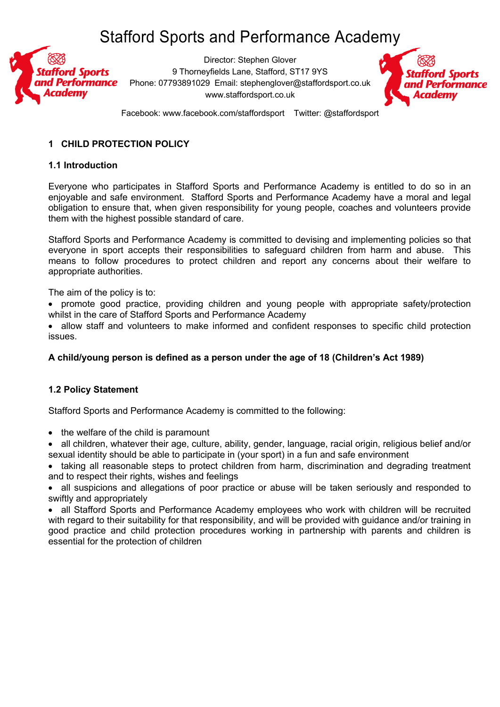

Director: Stephen Glover 9 Thorneyfields Lane, Stafford, ST17 9YS Phone: 07793891029 Email: stephenglover@staffordsport.co.uk www.staffordsport.co.uk



Facebook: www.facebook.com/staffordsport Twitter: @staffordsport

## **1 CHILD PROTECTION POLICY**

#### **1.1 Introduction**

Everyone who participates in Stafford Sports and Performance Academy is entitled to do so in an enjoyable and safe environment. Stafford Sports and Performance Academy have a moral and legal obligation to ensure that, when given responsibility for young people, coaches and volunteers provide them with the highest possible standard of care.

Stafford Sports and Performance Academy is committed to devising and implementing policies so that everyone in sport accepts their responsibilities to safeguard children from harm and abuse. This means to follow procedures to protect children and report any concerns about their welfare to appropriate authorities.

The aim of the policy is to:

• promote good practice, providing children and young people with appropriate safety/protection whilst in the care of Stafford Sports and Performance Academy

• allow staff and volunteers to make informed and confident responses to specific child protection issues.

## **A child/young person is defined as a person under the age of 18 (Children's Act 1989)**

## **1.2 Policy Statement**

Stafford Sports and Performance Academy is committed to the following:

- the welfare of the child is paramount
- all children, whatever their age, culture, ability, gender, language, racial origin, religious belief and/or sexual identity should be able to participate in (your sport) in a fun and safe environment

• taking all reasonable steps to protect children from harm, discrimination and degrading treatment and to respect their rights, wishes and feelings

• all suspicions and allegations of poor practice or abuse will be taken seriously and responded to swiftly and appropriately

• all Stafford Sports and Performance Academy employees who work with children will be recruited with regard to their suitability for that responsibility, and will be provided with guidance and/or training in good practice and child protection procedures working in partnership with parents and children is essential for the protection of children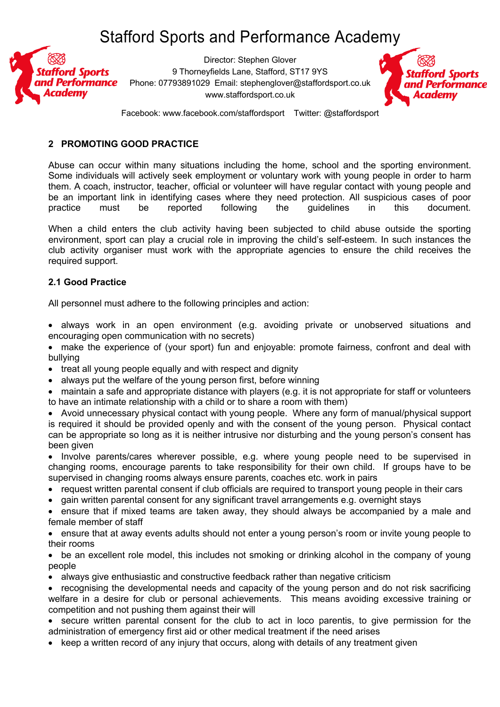

Director: Stephen Glover 9 Thorneyfields Lane, Stafford, ST17 9YS Phone: 07793891029 Email: stephenglover@staffordsport.co.uk www.staffordsport.co.uk



Facebook: www.facebook.com/staffordsport Twitter: @staffordsport

#### **2 PROMOTING GOOD PRACTICE**

Abuse can occur within many situations including the home, school and the sporting environment. Some individuals will actively seek employment or voluntary work with young people in order to harm them. A coach, instructor, teacher, official or volunteer will have regular contact with young people and be an important link in identifying cases where they need protection. All suspicious cases of poor practice must be reported following the guidelines in this document.

When a child enters the club activity having been subjected to child abuse outside the sporting environment, sport can play a crucial role in improving the child's self-esteem. In such instances the club activity organiser must work with the appropriate agencies to ensure the child receives the required support.

## **2.1 Good Practice**

All personnel must adhere to the following principles and action:

- always work in an open environment (e.g. avoiding private or unobserved situations and encouraging open communication with no secrets)
- make the experience of (your sport) fun and enjoyable: promote fairness, confront and deal with bullying
- treat all young people equally and with respect and dignity
- always put the welfare of the young person first, before winning
- maintain a safe and appropriate distance with players (e.g. it is not appropriate for staff or volunteers to have an intimate relationship with a child or to share a room with them)
- Avoid unnecessary physical contact with young people. Where any form of manual/physical support is required it should be provided openly and with the consent of the young person. Physical contact can be appropriate so long as it is neither intrusive nor disturbing and the young person's consent has been given
- Involve parents/cares wherever possible, e.g. where young people need to be supervised in changing rooms, encourage parents to take responsibility for their own child. If groups have to be supervised in changing rooms always ensure parents, coaches etc. work in pairs
- request written parental consent if club officials are required to transport young people in their cars
- gain written parental consent for any significant travel arrangements e.g. overnight stays

• ensure that if mixed teams are taken away, they should always be accompanied by a male and female member of staff

• ensure that at away events adults should not enter a young person's room or invite young people to their rooms

• be an excellent role model, this includes not smoking or drinking alcohol in the company of young people

- always give enthusiastic and constructive feedback rather than negative criticism
- recognising the developmental needs and capacity of the young person and do not risk sacrificing welfare in a desire for club or personal achievements. This means avoiding excessive training or competition and not pushing them against their will
- secure written parental consent for the club to act in loco parentis, to give permission for the administration of emergency first aid or other medical treatment if the need arises
- keep a written record of any injury that occurs, along with details of any treatment given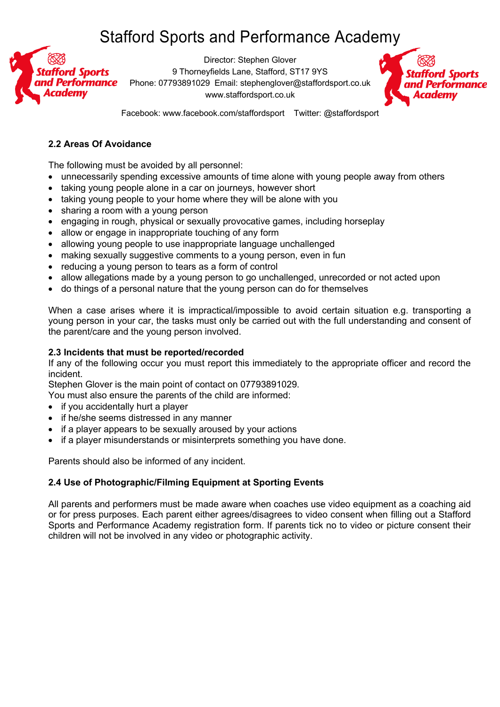

Director: Stephen Glover 9 Thorneyfields Lane, Stafford, ST17 9YS Phone: 07793891029 Email: stephenglover@staffordsport.co.uk www.staffordsport.co.uk



Facebook: www.facebook.com/staffordsport Twitter: @staffordsport

## **2.2 Areas Of Avoidance**

The following must be avoided by all personnel:

- unnecessarily spending excessive amounts of time alone with young people away from others
- taking young people alone in a car on journeys, however short
- taking young people to your home where they will be alone with you
- sharing a room with a young person
- engaging in rough, physical or sexually provocative games, including horseplay
- allow or engage in inappropriate touching of any form
- allowing young people to use inappropriate language unchallenged
- making sexually suggestive comments to a young person, even in fun
- reducing a young person to tears as a form of control
- allow allegations made by a young person to go unchallenged, unrecorded or not acted upon
- do things of a personal nature that the young person can do for themselves

When a case arises where it is impractical/impossible to avoid certain situation e.g. transporting a young person in your car, the tasks must only be carried out with the full understanding and consent of the parent/care and the young person involved.

#### **2.3 Incidents that must be reported/recorded**

If any of the following occur you must report this immediately to the appropriate officer and record the incident.

Stephen Glover is the main point of contact on 07793891029.

You must also ensure the parents of the child are informed:

- if you accidentally hurt a player
- if he/she seems distressed in any manner
- if a player appears to be sexually aroused by your actions
- if a player misunderstands or misinterprets something you have done.

Parents should also be informed of any incident.

## **2.4 Use of Photographic/Filming Equipment at Sporting Events**

All parents and performers must be made aware when coaches use video equipment as a coaching aid or for press purposes. Each parent either agrees/disagrees to video consent when filling out a Stafford Sports and Performance Academy registration form. If parents tick no to video or picture consent their children will not be involved in any video or photographic activity.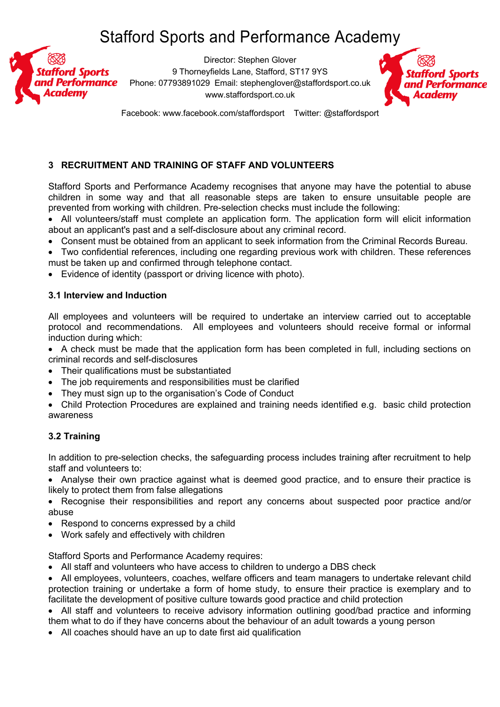

Director: Stephen Glover 9 Thorneyfields Lane, Stafford, ST17 9YS Phone: 07793891029 Email: stephenglover@staffordsport.co.uk www.staffordsport.co.uk



Facebook: www.facebook.com/staffordsport Twitter: @staffordsport

# **3 RECRUITMENT AND TRAINING OF STAFF AND VOLUNTEERS**

Stafford Sports and Performance Academy recognises that anyone may have the potential to abuse children in some way and that all reasonable steps are taken to ensure unsuitable people are prevented from working with children. Pre-selection checks must include the following:

• All volunteers/staff must complete an application form. The application form will elicit information about an applicant's past and a self-disclosure about any criminal record.

- Consent must be obtained from an applicant to seek information from the Criminal Records Bureau.
- Two confidential references, including one regarding previous work with children. These references must be taken up and confirmed through telephone contact.
- Evidence of identity (passport or driving licence with photo).

#### **3.1 Interview and Induction**

All employees and volunteers will be required to undertake an interview carried out to acceptable protocol and recommendations. All employees and volunteers should receive formal or informal induction during which:

• A check must be made that the application form has been completed in full, including sections on criminal records and self-disclosures

- Their qualifications must be substantiated
- The job requirements and responsibilities must be clarified
- They must sign up to the organisation's Code of Conduct
- Child Protection Procedures are explained and training needs identified e.g. basic child protection awareness

## **3.2 Training**

In addition to pre-selection checks, the safeguarding process includes training after recruitment to help staff and volunteers to:

• Analyse their own practice against what is deemed good practice, and to ensure their practice is likely to protect them from false allegations

• Recognise their responsibilities and report any concerns about suspected poor practice and/or abuse

- Respond to concerns expressed by a child
- Work safely and effectively with children

Stafford Sports and Performance Academy requires:

• All staff and volunteers who have access to children to undergo a DBS check

• All employees, volunteers, coaches, welfare officers and team managers to undertake relevant child protection training or undertake a form of home study, to ensure their practice is exemplary and to facilitate the development of positive culture towards good practice and child protection

• All staff and volunteers to receive advisory information outlining good/bad practice and informing them what to do if they have concerns about the behaviour of an adult towards a young person

• All coaches should have an up to date first aid qualification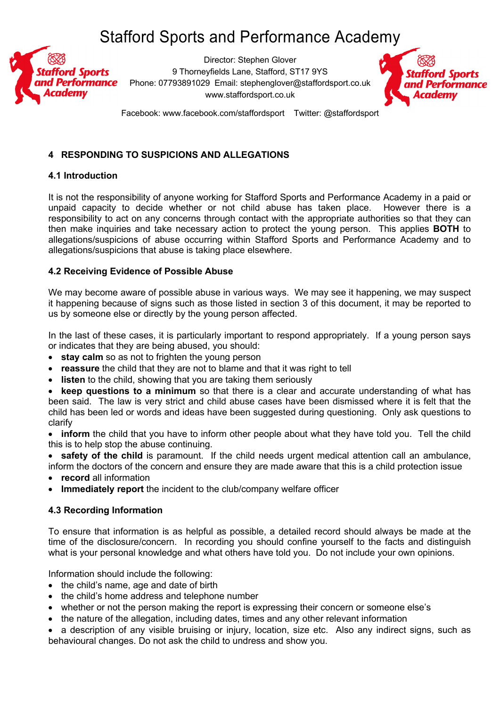

Director: Stephen Glover 9 Thorneyfields Lane, Stafford, ST17 9YS Phone: 07793891029 Email: stephenglover@staffordsport.co.uk www.staffordsport.co.uk



Facebook: www.facebook.com/staffordsport Twitter: @staffordsport

### **4 RESPONDING TO SUSPICIONS AND ALLEGATIONS**

#### **4.1 Introduction**

It is not the responsibility of anyone working for Stafford Sports and Performance Academy in a paid or unpaid capacity to decide whether or not child abuse has taken place. However there is a responsibility to act on any concerns through contact with the appropriate authorities so that they can then make inquiries and take necessary action to protect the young person. This applies **BOTH** to allegations/suspicions of abuse occurring within Stafford Sports and Performance Academy and to allegations/suspicions that abuse is taking place elsewhere.

#### **4.2 Receiving Evidence of Possible Abuse**

We may become aware of possible abuse in various ways. We may see it happening, we may suspect it happening because of signs such as those listed in section 3 of this document, it may be reported to us by someone else or directly by the young person affected.

In the last of these cases, it is particularly important to respond appropriately. If a young person says or indicates that they are being abused, you should:

- **stay calm** so as not to frighten the young person
- **reassure** the child that they are not to blame and that it was right to tell
- **listen** to the child, showing that you are taking them seriously

• **keep questions to a minimum** so that there is a clear and accurate understanding of what has been said. The law is very strict and child abuse cases have been dismissed where it is felt that the child has been led or words and ideas have been suggested during questioning. Only ask questions to clarify

• **inform** the child that you have to inform other people about what they have told you. Tell the child this is to help stop the abuse continuing.

• **safety of the child** is paramount. If the child needs urgent medical attention call an ambulance, inform the doctors of the concern and ensure they are made aware that this is a child protection issue

- **record** all information
- **Immediately report** the incident to the club/company welfare officer

#### **4.3 Recording Information**

To ensure that information is as helpful as possible, a detailed record should always be made at the time of the disclosure/concern. In recording you should confine yourself to the facts and distinguish what is your personal knowledge and what others have told you. Do not include your own opinions.

Information should include the following:

- the child's name, age and date of birth
- the child's home address and telephone number
- whether or not the person making the report is expressing their concern or someone else's
- the nature of the allegation, including dates, times and any other relevant information

• a description of any visible bruising or injury, location, size etc. Also any indirect signs, such as behavioural changes. Do not ask the child to undress and show you.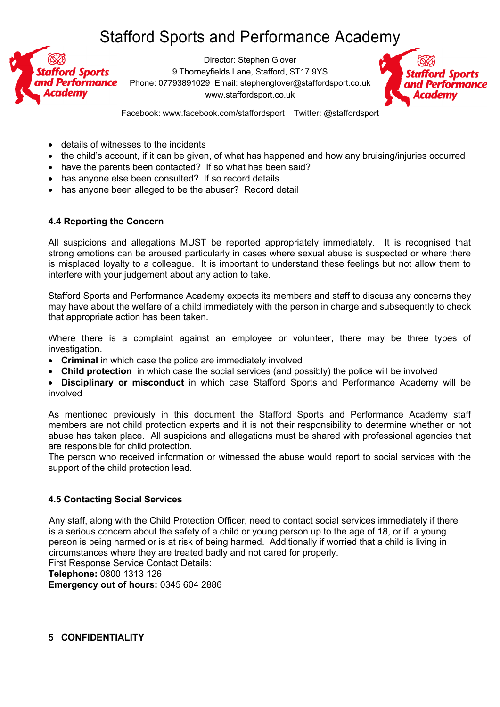

Director: Stephen Glover 9 Thorneyfields Lane, Stafford, ST17 9YS Phone: 07793891029 Email: stephenglover@staffordsport.co.uk www.staffordsport.co.uk



Facebook: www.facebook.com/staffordsport Twitter: @staffordsport

- details of witnesses to the incidents
- the child's account, if it can be given, of what has happened and how any bruising/injuries occurred
- have the parents been contacted?If so what has been said?
- has anyone else been consulted? If so record details
- has anyone been alleged to be the abuser? Record detail

## **4.4 Reporting the Concern**

All suspicions and allegations MUST be reported appropriately immediately. It is recognised that strong emotions can be aroused particularly in cases where sexual abuse is suspected or where there is misplaced loyalty to a colleague. It is important to understand these feelings but not allow them to interfere with your judgement about any action to take.

Stafford Sports and Performance Academy expects its members and staff to discuss any concerns they may have about the welfare of a child immediately with the person in charge and subsequently to check that appropriate action has been taken.

Where there is a complaint against an employee or volunteer, there may be three types of investigation.

- **Criminal** in which case the police are immediately involved
- **Child protection** in which case the social services (and possibly) the police will be involved
- **Disciplinary or misconduct** in which case Stafford Sports and Performance Academy will be involved

As mentioned previously in this document the Stafford Sports and Performance Academy staff members are not child protection experts and it is not their responsibility to determine whether or not abuse has taken place. All suspicions and allegations must be shared with professional agencies that are responsible for child protection.

The person who received information or witnessed the abuse would report to social services with the support of the child protection lead.

## **4.5 Contacting Social Services**

 Any staff, along with the Child Protection Officer, need to contact social services immediately if there is a serious concern about the safety of a child or young person up to the age of 18, or if a young person is being harmed or is at risk of being harmed. Additionally if worried that a child is living in circumstances where they are treated badly and not cared for properly.

First Response Service Contact Details:

**Telephone:** 0800 1313 126

**Emergency out of hours:** 0345 604 2886

**5 CONFIDENTIALITY**